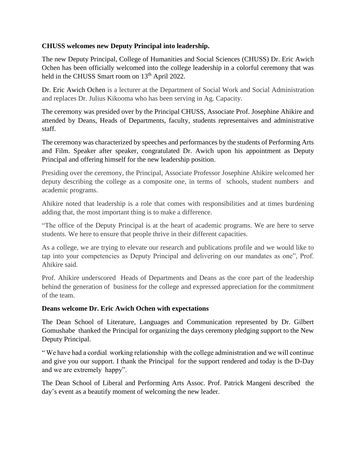## **CHUSS welcomes new Deputy Principal into leadership.**

The new Deputy Principal, College of Humanities and Social Sciences (CHUSS) Dr. Eric Awich Ochen has been officially welcomed into the college leadership in a colorful ceremony that was held in the CHUSS Smart room on 13<sup>th</sup> April 2022.

Dr. Eric Awich Ochen is a lecturer at the Department of Social Work and Social Administration and replaces Dr. Julius Kikooma who has been serving in Ag. Capacity.

The ceremony was presided over by the Principal CHUSS, Associate Prof. Josephine Ahikire and attended by Deans, Heads of Departments, faculty, students representaives and administrative staff.

The ceremony was characterized by speeches and performances by the students of Performing Arts and Film. Speaker after speaker, congratulated Dr. Awich upon his appointment as Deputy Principal and offering himself for the new leadership position.

Presiding over the ceremony, the Principal, Associate Professor Josephine Ahikire welcomed her deputy describing the college as a composite one, in terms of schools, student numbers and academic programs.

Ahikire noted that leadership is a role that comes with responsibilities and at times burdening adding that, the most important thing is to make a difference.

"The office of the Deputy Principal is at the heart of academic programs. We are here to serve students. We here to ensure that people thrive in their different capacities.

As a college, we are trying to elevate our research and publications profile and we would like to tap into your competencies as Deputy Principal and delivering on our mandates as one", Prof. Ahikire said.

Prof. Ahikire underscored Heads of Departments and Deans as the core part of the leadership behind the generation of business for the college and expressed appreciation for the commitment of the team.

## **Deans welcome Dr. Eric Awich Ochen with expectations**

The Dean School of Literature, Languages and Communication represented by Dr. Gilbert Gomushabe thanked the Principal for organizing the days ceremony pledging support to the New Deputy Principal.

" We have had a cordial working relationship with the college administration and we will continue and give you our support. I thank the Principal for the support rendered and today is the D-Day and we are extremely happy".

The Dean School of Liberal and Performing Arts Assoc. Prof. Patrick Mangeni described the day's event as a beautify moment of welcoming the new leader.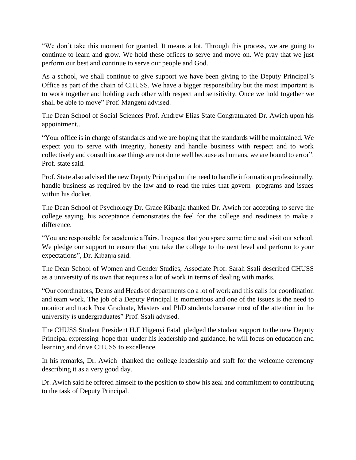"We don't take this moment for granted. It means a lot. Through this process, we are going to continue to learn and grow. We hold these offices to serve and move on. We pray that we just perform our best and continue to serve our people and God.

As a school, we shall continue to give support we have been giving to the Deputy Principal's Office as part of the chain of CHUSS. We have a bigger responsibility but the most important is to work together and holding each other with respect and sensitivity. Once we hold together we shall be able to move" Prof. Mangeni advised.

The Dean School of Social Sciences Prof. Andrew Elias State Congratulated Dr. Awich upon his appointment..

"Your office is in charge of standards and we are hoping that the standards will be maintained. We expect you to serve with integrity, honesty and handle business with respect and to work collectively and consult incase things are not done well because as humans, we are bound to error". Prof. state said.

Prof. State also advised the new Deputy Principal on the need to handle information professionally, handle business as required by the law and to read the rules that govern programs and issues within his docket.

The Dean School of Psychology Dr. Grace Kibanja thanked Dr. Awich for accepting to serve the college saying, his acceptance demonstrates the feel for the college and readiness to make a difference.

"You are responsible for academic affairs. I request that you spare some time and visit our school. We pledge our support to ensure that you take the college to the next level and perform to your expectations", Dr. Kibanja said.

The Dean School of Women and Gender Studies, Associate Prof. Sarah Ssali described CHUSS as a university of its own that requires a lot of work in terms of dealing with marks.

"Our coordinators, Deans and Heads of departments do a lot of work and this calls for coordination and team work. The job of a Deputy Principal is momentous and one of the issues is the need to monitor and track Post Graduate, Masters and PhD students because most of the attention in the university is undergraduates" Prof. Ssali advised.

The CHUSS Student President H.E Higenyi Fatal pledged the student support to the new Deputy Principal expressing hope that under his leadership and guidance, he will focus on education and learning and drive CHUSS to excellence.

In his remarks, Dr. Awich thanked the college leadership and staff for the welcome ceremony describing it as a very good day.

Dr. Awich said he offered himself to the position to show his zeal and commitment to contributing to the task of Deputy Principal.